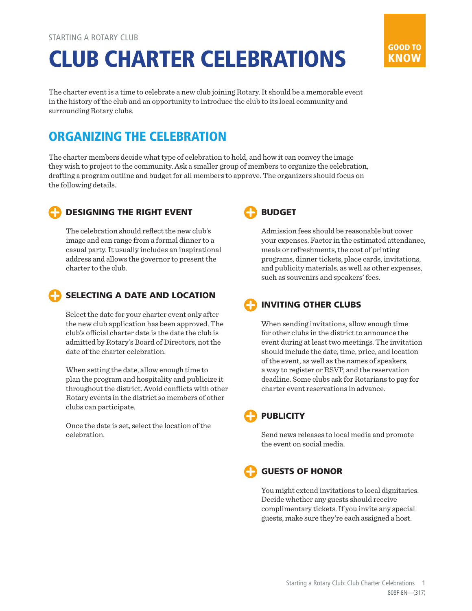# CLUB CHARTER CELEBRATIONS

The charter event is a time to celebrate a new club joining Rotary. It should be a memorable event in the history of the club and an opportunity to introduce the club to its local community and surrounding Rotary clubs.

# ORGANIZING THE CELEBRATION

The charter members decide what type of celebration to hold, and how it can convey the image they wish to project to the community. Ask a smaller group of members to organize the celebration, drafting a program outline and budget for all members to approve. The organizers should focus on the following details.



#### DESIGNING THE RIGHT EVENT

The celebration should reflect the new club's image and can range from a formal dinner to a casual party. It usually includes an inspirational address and allows the governor to present the charter to the club.

#### SELECTING A DATE AND LOCATION

Select the date for your charter event only after the new club application has been approved. The club's official charter date is the date the club is admitted by Rotary's Board of Directors, not the date of the charter celebration.

When setting the date, allow enough time to plan the program and hospitality and publicize it throughout the district. Avoid conflicts with other Rotary events in the district so members of other clubs can participate.

Once the date is set, select the location of the celebration.



Admission fees should be reasonable but cover your expenses. Factor in the estimated attendance, meals or refreshments, the cost of printing programs, dinner tickets, place cards, invitations, and publicity materials, as well as other expenses, such as souvenirs and speakers' fees.

GOOD TO KNOW

## INVITING OTHER CLUBS

When sending invitations, allow enough time for other clubs in the district to announce the event during at least two meetings. The invitation should include the date, time, price, and location of the event, as well as the names of speakers, a way to register or RSVP, and the reservation deadline. Some clubs ask for Rotarians to pay for charter event reservations in advance.

### **PUBLICITY**

Send news releases to local media and promote the event on social media.

### GUESTS OF HONOR

You might extend invitations to local dignitaries. Decide whether any guests should receive complimentary tickets. If you invite any special guests, make sure they're each assigned a host.